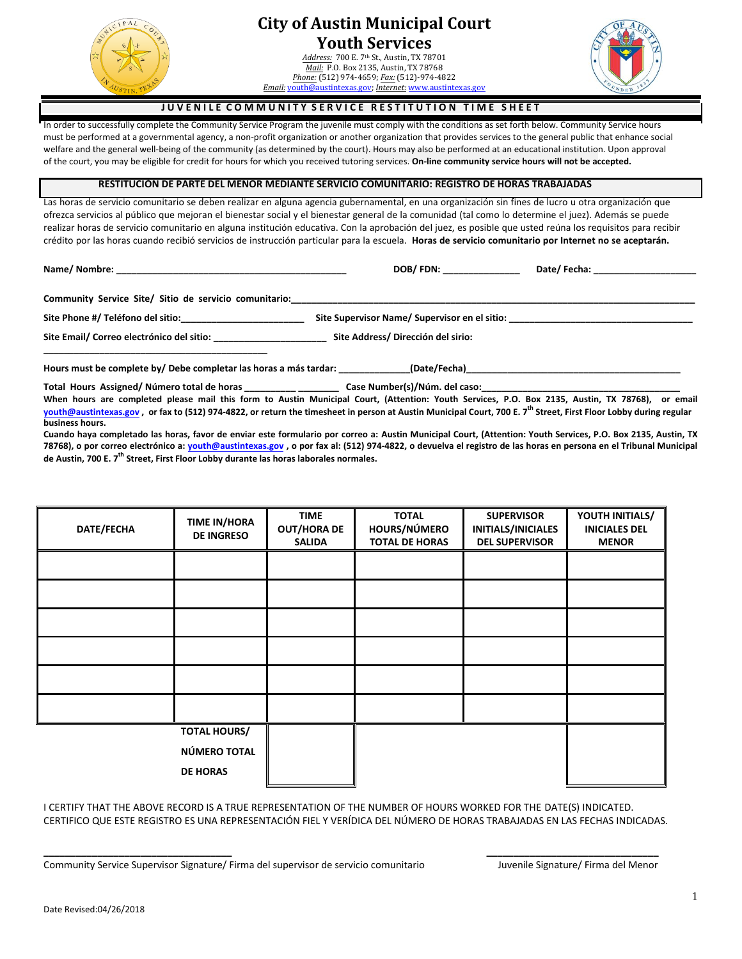

## **City of Austin Municipal Court Youth Services**

*Address:* 700 E. 7th St., Austin, TX 78701 *Mail:* P.O. Box 2135, Austin, TX 78768 *Phone:* (512) 974-4659; *Fax:* (512)-974-4822 *Email:* [youth@austintexas.gov](mailto:court@austintexas.gov); *Internet:* [www.austintexas.gov](http://www.austintexas.gov/)



### **JUVENILE COMMUNITY SERVICE RESTITUTION TIME SHEET**

In order to successfully complete the Community Service Program the juvenile must comply with the conditions as set forth below. Community Service hours must be performed at a governmental agency, a non-profit organization or another organization that provides services to the general public that enhance social welfare and the general well-being of the community (as determined by the court). Hours may also be performed at an educational institution. Upon approval of the court, you may be eligible for credit for hours for which you received tutoring services. **On-line community service hours will not be accepted.**

#### **RESTITUCIÓN DE PARTE DEL MENOR MEDIANTE SERVICIO COMUNITARIO: REGISTRO DE HORAS TRABAJADAS**

Las horas de servicio comunitario se deben realizar en alguna agencia gubernamental, en una organización sin fines de lucro u otra organización que ofrezca servicios al público que mejoran el bienestar social y el bienestar general de la comunidad (tal como lo determine el juez). Además se puede realizar horas de servicio comunitario en alguna institución educativa. Con la aprobación del juez, es posible que usted reúna los requisitos para recibir crédito por las horas cuando recibió servicios de instrucción particular para la escuela. **Horas de servicio comunitario por Internet no se aceptarán.**

**Name/ Nombre: \_\_\_\_\_\_\_\_\_\_\_\_\_\_\_\_\_\_\_\_\_\_\_\_\_\_\_\_\_\_\_\_\_\_\_\_\_\_\_\_\_\_\_\_\_ DOB/ FDN: \_\_\_\_\_\_\_\_\_\_\_\_\_\_\_ Date/ Fecha: \_\_\_\_\_\_\_\_\_\_\_\_\_\_\_\_\_\_\_\_** 

Community Service Site/ Sitio de servicio comunitario:\_\_\_\_\_\_

**\_\_\_\_\_\_\_\_\_\_\_\_\_\_\_\_\_\_\_\_\_\_\_\_\_\_\_\_\_\_\_\_\_\_\_\_\_\_\_\_\_\_\_\_** 

**Site Phone #/ Teléfono del sitio:\_\_\_\_\_\_\_\_\_\_\_\_\_\_\_\_\_\_\_\_\_\_\_\_ Site Supervisor Name/ Supervisor en el sitio: \_\_\_\_\_\_\_\_\_\_\_\_\_\_\_\_\_\_\_\_\_\_\_\_\_\_\_\_\_\_\_\_\_\_\_\_** 

**Site Email/ Correo electrónico del sitio: \_\_\_\_\_\_\_\_\_\_\_\_\_\_\_\_\_\_\_\_\_\_ Site Address/ Dirección del sirio:** 

Hours must be complete by/ Debe completar las horas a más tardar: (Date/Fecha)

Total Hours Assigned/ Número total de horas **case Number(s)/Núm. del caso:** 

**When hours are completed please mail this form to Austin Municipal Court, (Attention: Youth Services, P.O. Box 2135, Austin, TX 78768), or email youth@austintexas.gov , or fax to (512) 974-4822, or return the timesheet in person at Austin Municipal Court, 700 E. 7th Street, First Floor Lobby during regular [business hours.](mailto:youth@austintexas.gov)** 

**Cuando haya completado las horas, favor de enviar este formulario por correo a: Austin Municipal Court, (Attention: Youth Services, P.O. Box 2135, Austin, TX 78768), o por correo electrónico a: youth@austintexas.gov , o por fax al: (512) 974-4822, o devuelva el registro de las horas en persona en el Tribunal Municipal de Austin, 700 E. 7th Street, First Floor Lobby durante las horas laborales normales.**

| DATE/FECHA | <b>TIME IN/HORA</b><br><b>DE INGRESO</b>               | <b>TIME</b><br><b>OUT/HORA DE</b><br><b>SALIDA</b> | <b>TOTAL</b><br>HOURS/NÚMERO<br><b>TOTAL DE HORAS</b> | <b>SUPERVISOR</b><br>INITIALS/INICIALES<br><b>DEL SUPERVISOR</b> | YOUTH INITIALS/<br><b>INICIALES DEL</b><br><b>MENOR</b> |
|------------|--------------------------------------------------------|----------------------------------------------------|-------------------------------------------------------|------------------------------------------------------------------|---------------------------------------------------------|
|            |                                                        |                                                    |                                                       |                                                                  |                                                         |
|            |                                                        |                                                    |                                                       |                                                                  |                                                         |
|            |                                                        |                                                    |                                                       |                                                                  |                                                         |
|            |                                                        |                                                    |                                                       |                                                                  |                                                         |
|            |                                                        |                                                    |                                                       |                                                                  |                                                         |
|            |                                                        |                                                    |                                                       |                                                                  |                                                         |
|            | <b>TOTAL HOURS/</b><br>NÚMERO TOTAL<br><b>DE HORAS</b> |                                                    |                                                       |                                                                  |                                                         |

I CERTIFY THAT THE ABOVE RECORD IS A TRUE REPRESENTATION OF THE NUMBER OF HOURS WORKED FOR THE DATE(S) INDICATED. CERTIFICO QUE ESTE REGISTRO ES UNA REPRESENTACIÓN FIEL Y VERÍDICA DEL NÚMERO DE HORAS TRABAJADAS EN LAS FECHAS INDICADAS.

**\_\_\_\_\_\_\_\_\_\_\_\_\_\_\_\_\_\_\_\_\_\_\_\_\_\_\_\_\_\_\_\_\_\_\_ \_\_\_\_\_\_\_\_\_\_\_\_\_\_\_\_\_\_\_\_\_\_\_\_\_\_\_\_\_\_\_\_** 

Community Service Supervisor Signature/ Firma del supervisor de servicio comunitario Juvenile Signature/ Firma del Menor